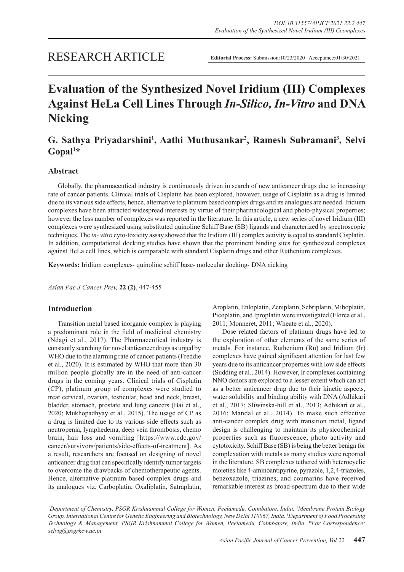# RESEARCH ARTICLE

# **Evaluation of the Synthesized Novel Iridium (III) Complexes Against HeLa Cell Lines Through** *In-Silico, In-Vitro* **and DNA Nicking**

# G. Sathya Priyadarshini<sup>1</sup>, Aathi Muthusankar<sup>2</sup>, Ramesh Subramani<sup>3</sup>, Selvi **Gopal1 \***

# **Abstract**

Globally, the pharmaceutical industry is continuously driven in search of new anticancer drugs due to increasing rate of cancer patients. Clinical trials of Cisplatin has been explored, however, usage of Cisplatin as a drug is limited due to its various side effects, hence, alternative to platinum based complex drugs and its analogues are needed. Iridium complexes have been attracted widespread interests by virtue of their pharmacological and photo-physical properties; however the less number of complexes was reported in the literature. In this article, a new series of novel Iridium (III) complexes were synthesized using substituted quinoline Schiff Base (SB) ligands and characterized by spectroscopic techniques. The *in- vitro* cyto-toxicity assay showed that the Iridium (III) complex activity is equal to standard Cisplatin. In addition, computational docking studies have shown that the prominent binding sites for synthesized complexes against HeLa cell lines, which is comparable with standard Cisplatin drugs and other Ruthenium complexes.

**Keywords:** Iridium complexes- quinoline schiff base- molecular docking- DNA nicking

*Asian Pac J Cancer Prev,* **22 (2)**, 447-455

# **Introduction**

Transition metal based inorganic complex is playing a predominant role in the field of medicinal chemistry (Ndagi et al., 2017). The Pharmaceutical industry is constantly searching for novel anticancer drugs as urged by WHO due to the alarming rate of cancer patients (Freddie et al., 2020). It is estimated by WHO that more than 30 million people globally are in the need of anti-cancer drugs in the coming years. Clinical trials of Cisplatin (CP), platinum group of complexes were studied to treat cervical, ovarian, testicular, head and neck, breast, bladder, stomach, prostate and lung cancers (Bai et al., 2020; Mukhopadhyay et al., 2015). The usage of CP as a drug is limited due to its various side effects such as neutropenia, lymphedema, deep vein thrombosis, chemo brain, hair loss and vomiting [https://www.cdc.gov/ cancer/survivors/patients/side-effects-of-treatment]. As a result, researchers are focused on designing of novel anticancer drug that can specifically identify tumor targets to overcome the drawbacks of chemotherapeutic agents. Hence, alternative platinum based complex drugs and its analogues viz. Carboplatin, Oxaliplatin, Satraplatin, Aroplatin, Enloplatin, Zeniplatin, Sebriplatin, Miboplatin, Picoplatin, and Iproplatin were investigated (Florea et al., 2011; Monneret, 2011; Wheate et al., 2020).

Dose related factors of platinum drugs have led to the exploration of other elements of the same series of metals. For instance, Ruthenium (Ru) and Iridium (Ir) complexes have gained significant attention for last few years due to its anticancer properties with low side effects (Sudding et al., 2014). However, Ir complexes containing NNO donors are explored to a lesser extent which can act as a better anticancer drug due to their kinetic aspects, water solubility and binding ability with DNA (Adhikari et al., 2017; Sliwinska-hill et al., 2013; Adhikari et al., 2016; Mandal et al., 2014). To make such effective anti-cancer complex drug with transition metal, ligand design is challenging to maintain its physicochemical properties such as fluorescence, photo activity and cytotoxicity. Schiff Base (SB) is being the better benign for complexation with metals as many studies were reported in the literature. SB complexes tethered with heterocyclic moieties like 4-aminoantipyrine, pyrazole, 1,2,4-triazoles, benzoxazole, triazines, and coumarins have received remarkable interest as broad-spectrum due to their wide

*1 Department of Chemistry, PSGR Krishnammal College for Women, Peelamedu, Coimbatore, India. 2 Membrane Protein Biology Group, International Centre for Genetic Engineering and Biotechnology, New Delhi 110067, India. 3 Department of Food Processing Technology & Management, PSGR Krishnammal College for Women, Peelamedu, Coimbatore, India. \*For Correspondence: selvig@psgrkcw.ac.in*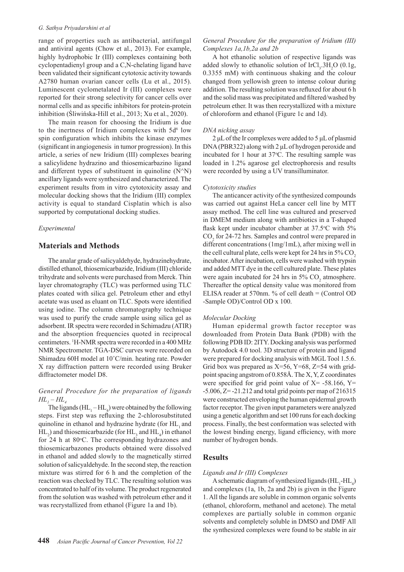#### *G. Sathya Priyadarshini et al*

range of properties such as antibacterial, antifungal and antiviral agents (Chow et al., 2013). For example, highly hydrophobic Ir (III) complexes containing both cyclopentadienyl group and a C,N-chelating ligand have been validated their significant cytotoxic activity towards A2780 human ovarian cancer cells (Lu et al., 2015). Luminescent cyclometalated Ir (III) complexes were reported for their strong selectivity for cancer cells over normal cells and as specific inhibitors for protein-protein inhibition (Śliwińska-Hill et al., 2013; Xu et al., 2020).

The main reason for choosing the Iridium is due to the inertness of Iridium complexes with  $5d^6$  low spin configuration which inhibits the kinase enzymes (significant in angiogenesis in tumor progression). In this article, a series of new Iridium (III) complexes bearing a salicylidene hydrazino and thiosemicarbazino ligand and different types of substituent in quinoline  $(N^N)$ ancillary ligands were synthesized and characterized. The experiment results from in vitro cytotoxicity assay and molecular docking shows that the Iridium (III) complex activity is equal to standard Cisplatin which is also supported by computational docking studies.

#### *Experimental*

# **Materials and Methods**

The analar grade of salicyaldehyde, hydrazinehydrate, distilled ethanol, thiosemicarbazide, Iridium (III) chloride trihydrate and solvents were purchased from Merck. Thin layer chromatography (TLC) was performed using TLC plates coated with silica gel. Petroleum ether and ethyl acetate was used as eluant on TLC. Spots were identified using iodine. The column chromatography technique was used to purify the crude sample using silica gel as adsorbent. IR spectra were recorded in Schimadzu (ATIR) and the absorption frequencies quoted in reciprocal centimeters. 1 H-NMR spectra were recorded in a 400 MHz NMR Spectrometer. TGA-DSC curves were recorded on Shimadzu 60H model at 10˚C/min. heating rate. Powder X ray diffraction pattern were recorded using Bruker diffractometer model D8.

# *General Procedure for the preparation of ligands HL1 – HL4*

The ligands  $(HL_1-HL_4)$  were obtained by the following steps. First step was refluxing the 2-chlorosubstituted quinoline in ethanol and hydrazine hydrate (for HL, and  $HL_2$ ) and thiosemicarbazide (for  $HL_3$  and  $HL_4$ ) in ethanol for 24 h at  $80^{\circ}$ C. The corresponding hydrazones and thiosemicarbazones products obtained were dissolved in ethanol and added slowly to the magnetically stirred solution of salicyaldehyde. In the second step, the reaction mixture was stirred for 6 h and the completion of the reaction was checked by TLC. The resulting solution was concentrated to half of its volume. The product regenerated from the solution was washed with petroleum ether and it was recrystallized from ethanol (Figure 1a and 1b).

# *General Procedure for the preparation of Iridium (III) Complexes 1a,1b,2a and 2b*

A hot ethanolic solution of respective ligands was added slowly to ethanolic solution of  $\text{IrCl}_3$ .  $3\text{H}_2\text{O}$  (0.1g, 0.3355 mM) with continuous shaking and the colour changed from yellowish green to intense colour during addition. The resulting solution was refluxed for about 6 h and the solid mass was precipitated and filtered/washed by petroleum ether. It was then recrystallized with a mixture of chloroform and ethanol (Figure 1c and 1d).

#### *DNA nicking assay*

2 μL of the Ir complexes were added to 5 μL of plasmid DNA (PBR322) along with 2 μL of hydrogen peroxide and incubated for 1 hour at  $37^{\circ}$ C. The resulting sample was loaded in 1.2% agarose gel electrophoresis and results were recorded by using a UV transilluminator.

#### *Cytotoxicity studies*

The anticancer activity of the synthesized compounds was carried out against HeLa cancer cell line by MTT assay method. The cell line was cultured and preserved in DMEM medium along with antibiotics in a T-shaped flask kept under incubator chamber at 37.5°C with 5%  $CO<sub>2</sub>$  for 24-72 hrs. Samples and control were prepared in different concentrations (1mg/1mL), after mixing well in the cell cultural plate, cells were kept for 24 hrs in  $5\%$  CO<sub>2</sub> incubator. After incubation, cells were washed with trypsin and added MTT dye in the cell cultured plate. These plates were again incubated for 24 hrs in  $5\%$  CO<sub>2</sub> atmosphere. Thereafter the optical density value was monitored from ELISA reader at 570nm. % of cell death = (Control OD -Sample OD)/Control OD x 100.

#### *Molecular Docking*

Human epidermal growth factor receptor was downloaded from Protein Data Bank (PDB) with the following PDB ID: 2ITY. Docking analysis was performed by Autodock 4.0 tool. 3D structure of protein and ligand were prepared for docking analysis with MGL Tool 1.5.6. Grid box was prepared as  $X=56$ ,  $Y=68$ ,  $Z=54$  with gridpoint spacing angstrom of 0.858Å. The X, Y, Z coordinates were specified for grid point value of  $X = -58.166$ ,  $Y =$  $-5.006$ ,  $Z = -21.212$  and total grid points per map of 216315 were constructed enveloping the human epidermal growth factor receptor. The given input parameters were analyzed using a genetic algorithm and set 100 runs for each docking process. Finally, the best conformation was selected with the lowest binding energy, ligand efficiency, with more number of hydrogen bonds.

## **Results**

#### *Ligands and Ir (III) Complexes*

A schematic diagram of synthesized ligands  $(HL_1-HL_4)$ and complexes (1a, 1b, 2a and 2b) is given in the Figure 1. All the ligands are soluble in common organic solvents (ethanol, chloroform, methanol and acetone). The metal complexes are partially soluble in common organic solvents and completely soluble in DMSO and DMF All the synthesized complexes were found to be stable in air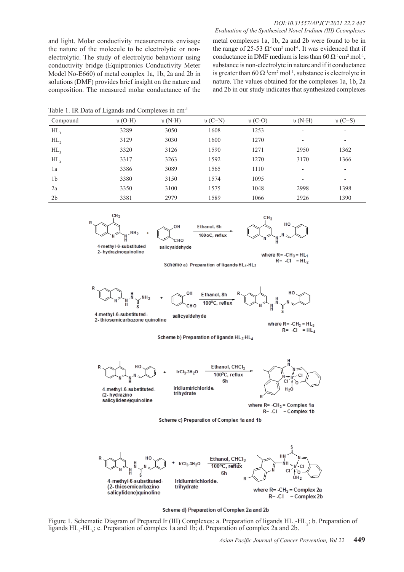#### *DOI:10.31557/APJCP.2021.22.2.447 Evaluation of the Synthesized Novel Iridium (III) Ccomplexes*

and light. Molar conductivity measurements envisage the nature of the molecule to be electrolytic or nonelectrolytic. The study of electrolytic behaviour using conductivity bridge (Equiptronics Conductivity Meter Model No-E660) of metal complex 1a, 1b, 2a and 2b in solutions (DMF) provides brief insight on the nature and composition. The measured molar conductance of the metal complexes 1a, 1b, 2a and 2b were found to be in the range of 25-53  $\Omega$ <sup>1</sup>cm<sup>2</sup> mol<sup>-1</sup>. It was evidenced that if conductance in DMF medium is less than  $60 \Omega^{-1}$ cm<sup>2</sup> mol<sup>-1</sup>, substance is non-electrolyte in nature and if it conductance is greater than  $60 \Omega^1$ cm<sup>2</sup> mol<sup>-1</sup>, substance is electrolyte in nature. The values obtained for the complexes 1a, 1b, 2a and 2b in our study indicates that synthesized complexes

Table 1. IR Data of Ligands and Complexes in cm-1

|                   | $\tilde{\phantom{a}}$ |             |          |          |          |          |  |
|-------------------|-----------------------|-------------|----------|----------|----------|----------|--|
| Compound          | $v$ (O-H)             | $\nu$ (N-H) | $v(C=N)$ | $v(C-O)$ | $v(N-H)$ | $v(C=S)$ |  |
| HL                | 3289                  | 3050        | 1608     | 1253     | ٠        | ۰        |  |
| $HL$ ,            | 3129                  | 3030        | 1600     | 1270     | ۰        | ۰        |  |
| $HL$ <sub>2</sub> | 3320                  | 3126        | 1590     | 1271     | 2950     | 1362     |  |
| $HL$ <sub>4</sub> | 3317                  | 3263        | 1592     | 1270     | 3170     | 1366     |  |
| 1a                | 3386                  | 3089        | 1565     | 1110     | ٠        | -        |  |
| 1 <sub>b</sub>    | 3380                  | 3150        | 1574     | 1095     | ٠        | ٠        |  |
| 2a                | 3350                  | 3100        | 1575     | 1048     | 2998     | 1398     |  |
| 2 <sub>b</sub>    | 3381                  | 2979        | 1589     | 1066     | 2926     | 1390     |  |
|                   |                       |             |          |          |          |          |  |

$$
\begin{array}{c}\n\begin{array}{ccc}\n\stackrel{...}{\phantom{0}} \\
\hline\n\end{array} & \begin{array}{ccc}\n\stackrel{...}{\phantom{0}} \\
\hline\n\end{array} & \begin{array}{ccc}\n\stackrel{...}{\phantom{0}} \\
\hline\n\end{array} & \begin{array}{ccc}\n\stackrel{...}{\phantom{0}} \\
\hline\n\end{array} & \begin{array}{ccc}\n\stackrel{...}{\phantom{0}} \\
\hline\n\end{array} & \begin{array}{ccc}\n\stackrel{...}{\phantom{0}} \\
\hline\n\end{array} & \begin{array}{ccc}\n\stackrel{...}{\phantom{0}} \\
\hline\n\end{array} & \begin{array}{ccc}\n\stackrel{...}{\phantom{0}} \\
\hline\n\end{array} & \begin{array}{ccc}\n\stackrel{...}{\phantom{0}} \\
\hline\n\end{array} & \begin{array}{ccc}\n\stackrel{...}{\phantom{0}} \\
\hline\n\end{array} & \begin{array}{ccc}\n\stackrel{...}{\phantom{0}} \\
\hline\n\end{array} & \begin{array}{ccc}\n\stackrel{...}{\phantom{0}} \\
\hline\n\end{array} & \begin{array}{ccc}\n\stackrel{...}{\phantom{0}} \\
\hline\n\end{array} & \begin{array}{ccc}\n\stackrel{...}{\phantom{0}} \\
\hline\n\end{array} & \begin{array}{ccc}\n\stackrel{...}{\phantom{0}} \\
\hline\n\end{array} & \begin{array}{ccc}\n\stackrel{...}{\phantom{0}} \\
\hline\n\end{array} & \begin{array}{ccc}\n\stackrel{...}{\phantom{0}} \\
\hline\n\end{array} & \begin{array}{ccc}\n\stackrel{...}{\phantom{0}} \\
\hline\n\end{array} & \begin{array}{ccc}\n\stackrel{...}{\phantom{0}} \\
\hline\n\end{array} & \begin{array}{ccc}\n\stackrel{...}{\phantom{0}} \\
\hline\n\end{array} & \begin{array}{ccc}\n\stackrel{...}{\phantom{0}} \\
\hline\n\end{array} & \begin{array}{ccc}\n\stackrel{...}{\phantom{0}} \\
\hline\n\end{array} & \begin{array}{ccc}\n\stackrel{...}{\phantom{0}} \\
\hline\n\end{array} & \begin{array}{ccc}\n\stackrel{...}{\phantom{0}} \\
\hline\n\end{array} & \begin{array}{ccc}
$$

 $\sim$ 

4-methyl-6-substituted 2- hydrazinoquinoline

Ethanol, 6h 100 oC, reflux

salic valdehyde



where  $R = -CH_3 = HL_1$  $R = -CI = HL<sub>2</sub>$ 

Scheme a) Preparation of ligands HL<sub>1</sub>-HL<sub>2</sub>



F thanol, 8h 100°C, reflux

4-methyl-6-substituted-2- thiosemicarbazone quinoline

where  $R = -CH_3 = HL_3$  $R = -CI \stackrel{?}{=} HL_4$ 



salicyaldehyde

 $IrCl<sub>3</sub>.3H<sub>2</sub>O$ 

iridiu mtrichloride trihydrate



4-methyl-6-substituted-(2-hydrazino salicy lidene) quin oline



where  $R = -CH_3 =$  Complex 1a  $R = -CI$  = Complex 1b

Scheme c) Preparation of Complex 1a and 1b

6h



Scheme d) Preparation of Complex 2a and 2b

Figure 1. Schematic Diagram of Prepared Ir (III) Complexes: a. Preparation of ligands  $HL_1-HL_2$ ; b. Preparation of ligands  $HL_3$ -HL<sub>4</sub>; c. Preparation of complex 1a and 1b; d. Preparation of complex 2a and 2b.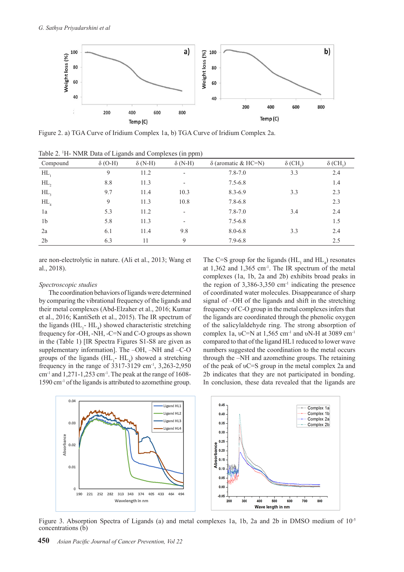

Figure 2. a) TGA Curve of Iridium Complex 1a, b) TGA Curve of Iridium Complex 2a.

| Compound          | $\check{ }$<br>$\delta$ (O-H) | $\overline{\phantom{a}}$<br>$\delta$ (N-H) | . .<br>$\overline{\phantom{a}}$<br>$\delta$ (N-H) | $\delta$ (aromatic & HC=N) | $\delta$ (CH <sub>2</sub> ) | $\delta$ (CH <sub>2</sub> ) |
|-------------------|-------------------------------|--------------------------------------------|---------------------------------------------------|----------------------------|-----------------------------|-----------------------------|
| HL                | 9                             | 11.2                                       | $\overline{\phantom{a}}$                          | $7.8 - 7.0$                | 3.3                         | 2.4                         |
| $HL$ ,            | 8.8                           | 11.3                                       | -                                                 | $7.5 - 6.8$                |                             | 1.4                         |
| $HL$ <sub>2</sub> | 9.7                           | 11.4                                       | 10.3                                              | $8.3 - 6.9$                | 3.3                         | 2.3                         |
| $HL$ <sub>4</sub> | 9                             | 11.3                                       | 10.8                                              | $7.8 - 6.8$                |                             | 2.3                         |
| 1a                | 5.3                           | 11.2                                       | $\overline{\phantom{0}}$                          | $7.8 - 7.0$                | 3.4                         | 2.4                         |
| 1 <sub>b</sub>    | 5.8                           | 11.3                                       | $\overline{\phantom{a}}$                          | $7.5 - 6.8$                |                             | 1.5                         |
| 2a                | 6.1                           | 11.4                                       | 9.8                                               | $8.0 - 6.8$                | 3.3                         | 2.4                         |
| 2 <sub>b</sub>    | 6.3                           | 11                                         | 9                                                 | $7.9 - 6.8$                |                             | 2.5                         |

Table 2. 1 H- NMR Data of Ligands and Complexes (in ppm)

are non-electrolytic in nature. (Ali et al., 2013; Wang et al., 2018).

#### *Spectroscopic studies*

The coordination behaviors of ligands were determined by comparing the vibrational frequency of the ligands and their metal complexes (Abd-Elzaher et al., 2016; Kumar et al., 2016; KantiSeth et al., 2015). The IR spectrum of the ligands  $(HL_1 - HL_4)$  showed characteristic stretching frequency for -OH, -NH, -C=N and C-O groups as shown in the (Table 1) [IR Spectra Figures S1-S8 are given as supplementary information]. The –OH, –NH and –C-O groups of the ligands  $(HL_1 - HL_4)$  showed a stretching frequency in the range of  $3317-3129$  cm<sup>-1</sup>,  $3,263-2,950$  $cm<sup>-1</sup>$  and 1,271-1,253 cm<sup>-1</sup>. The peak at the range of 1608-1590 cm-1 of the ligands is attributed to azomethine group.

The C=S group for the ligands  $(HL_3$  and  $HL_4$ ) resonates at  $1,362$  and  $1,365$  cm<sup>-1</sup>. The IR spectrum of the metal complexes (1a, 1b, 2a and 2b) exhibits broad peaks in the region of  $3,386-3,350$  cm<sup>-1</sup> indicating the presence of coordinated water molecules. Disappearance of sharp signal of –OH of the ligands and shift in the stretching frequency of C-O group in the metal complexes infers that the ligands are coordinated through the phenolic oxygen of the salicylaldehyde ring. The strong absorption of complex 1a, υC=N at 1,565 cm<sup>-1</sup> and υN-H at 3089 cm<sup>-1</sup> compared to that of the ligand HL1 reduced to lower wave numbers suggested the coordination to the metal occurs through the –NH and azomethine groups. The retaining of the peak of υC=S group in the metal complex 2a and 2b indicates that they are not participated in bonding. In conclusion, these data revealed that the ligands are



Figure 3. Absorption Spectra of Ligands (a) and metal complexes 1a, 1b, 2a and 2b in DMSO medium of  $10^{-5}$ concentrations (b)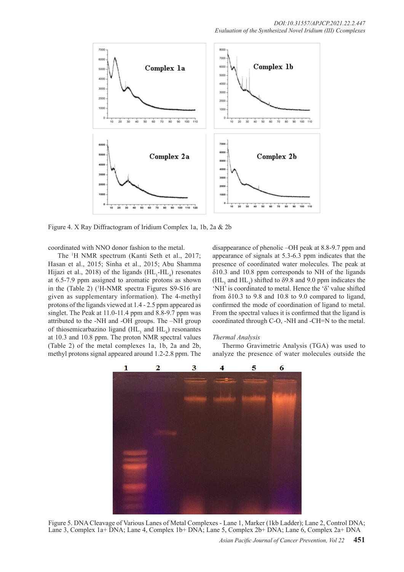

Figure 4. X Ray Diffractogram of Iridium Complex 1a, 1b, 2a & 2b

coordinated with NNO donor fashion to the metal.

The 1 H NMR spectrum (Kanti Seth et al., 2017; Hasan et al., 2015; Sinha et al., 2015; Abu Shamma Hijazi et al., 2018) of the ligands  $(HL_1-HL_4)$  resonates at 6.5-7.9 ppm assigned to aromatic protons as shown in the (Table 2) (<sup>1</sup>H-NMR spectra Figures S9-S16 are given as supplementary information). The 4-methyl protons of the ligands viewed at 1.4 - 2.5 ppm appeared as singlet. The Peak at 11.0-11.4 ppm and 8.8-9.7 ppm was attributed to the -NH and -OH groups. The –NH group of thiosemicarbazino ligand  $(HL_3)$  and  $HL_4$ ) resonantes at 10.3 and 10.8 ppm. The proton NMR spectral values (Table 2) of the metal complexes 1a, 1b, 2a and 2b, methyl protons signal appeared around 1.2-2.8 ppm. The

disappearance of phenolic –OH peak at 8.8-9.7 ppm and appearance of signals at 5.3-6.3 ppm indicates that the presence of coordinated water molecules. The peak at δ10.3 and 10.8 ppm corresponds to NH of the ligands  $(HL<sub>3</sub>$  and  $HL<sub>4</sub>)$  shifted to  $\delta$ 9.8 and 9.0 ppm indicates the 'NH' is coordinated to metal. Hence the 'δ' value shifted from  $\delta$ 10.3 to 9.8 and 10.8 to 9.0 compared to ligand, confirmed the mode of coordination of ligand to metal. From the spectral values it is confirmed that the ligand is coordinated through C-O, -NH and -CH=N to the metal.

#### *Thermal Analysis*

Thermo Gravimetric Analysis (TGA) was used to analyze the presence of water molecules outside the



Figure 5. DNA Cleavage of Various Lanes of Metal Complexes - Lane 1, Marker (1kb Ladder); Lane 2, Control DNA; Lane 3, Complex 1a+ DNA; Lane 4, Complex 1b+ DNA; Lane 5, Complex 2b+ DNA; Lane 6, Complex 2a+ DNA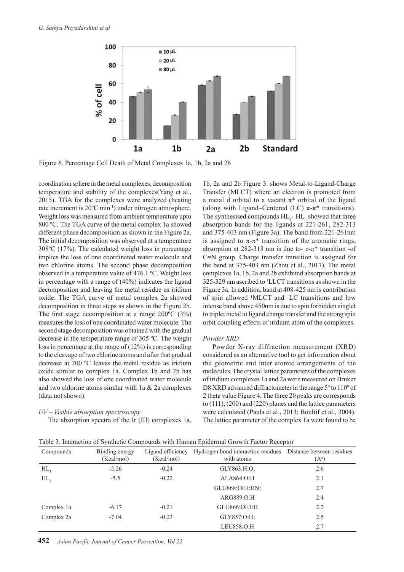

Figure 6. Percentage Cell Death of Metal Complexes 1a, 1b, 2a and 2b

coordination sphere in the metal complexes, decomposition temperature and stability of the complexes(Yang et al., 2015). TGA for the complexes were analyzed (heating rate increment is 20ºC min-1) under nitrogen atmosphere. Weight loss was measured from ambient temperature upto 800 ºC. The TGA curve of the metal complex 1a showed different phase decomposition as shown in the Figure 2a. The initial decomposition was observed at a temperature 308ºC (17%). The calculated weight loss in percentage implies the loss of one coordinated water molecule and two chlorine atoms. The second phase decomposition observed in a temperature value of 476.1 ºC. Weight loss in percentage with a range of (40%) indicates the ligand decomposition and leaving the metal residue as iridium oxide. The TGA curve of metal complex 2a showed decomposition in three steps as shown in the Figure 2b. The first stage decomposition at a range 200ºC (3%) measures the loss of one coordinated water molecule. The second stage decomposition was obtained with the gradual decrease in the temperature range of 305 ºC. The weight loss in percentage at the range of (12%) is corresponding to the cleavage of two chlorine atoms and after that gradual decrease at 700 ºC leaves the metal residue as iridium oxide similar to complex 1a. Complex 1b and 2b has also showed the loss of one coordinated water molecule and two chlorine atoms similar with 1a & 2a complexes (data not shown).

## *UV – Visible absorption spectroscopy*

The absorption spectra of the Ir (III) complexes 1a,

1b, 2a and 2b Figure 3. shows Metal-to-Ligand-Charge Transfer (MLCT) where an electron is promoted from a metal d orbital to a vacant  $\pi^*$  orbital of the ligand (along with Ligand–Centered (LC)  $\pi$ - $\pi$ <sup>\*</sup> transitions). The synthesised compounds  $HL_1$ -  $HL_4$  showed that three absorption bands for the ligands at 221-261, 282-313 and 375-403 nm (Figure 3a). The band from 221-261nm is assigned to  $\pi$ - $\pi$ <sup>\*</sup> transition of the aromatic rings, absorption at 282-313 nm is due to- n- $\pi^*$  transition -of C=N group. Charge transfer transition is assigned for the band at 375-403 nm (Zhou et al., 2017). The metal complexes 1a, 1b, 2a and 2b exhibited absorption bands at 325-329 nm ascribed to <sup>1</sup> LLCT transitions as shown in the Figure 3a. In addition, band at 408-425 nm is contribution of spin allowed <sup>1</sup> MLCT and 1 LC transitions and low intense band above 450nm is due to spin forbidden singlet to triplet metal to ligand charge transfer and the strong spin orbit coupling effects of iridium atom of the complexes.

#### *Powder XRD*

Powder X-ray diffraction measurement (XRD) considered as an alternative tool to get information about the geometric and inter atomic arrangements of the molecules. The crystal lattice parameters of the complexes of iridium complexes 1a and 2a were measured on Bruker D8 XRD advanced diffractometer in the range 5<sup>°</sup> to 110<sup>°</sup> of 2 theta value Figure 4. The three 2θ peaks are corresponds to (111), (200) and (220) planes and the lattice parameters were calculated (Paula et al., 2013; Boultif et al., 2004). The lattice parameter of the complex 1a were found to be

| Table 3. Interaction of Synthetic Compounds with Human Epidermal Growth Factor Receptor |
|-----------------------------------------------------------------------------------------|
|-----------------------------------------------------------------------------------------|

| Compounds  | Binding energy<br>(Kcal/mol) | Ligand efficiency<br>(Keal/mol) | Hydrogen bond interaction residues<br>with atoms | Distance between residues<br>$(A^{\circ})$ |
|------------|------------------------------|---------------------------------|--------------------------------------------------|--------------------------------------------|
| HL,        | $-5.26$                      | $-0.24$                         | GLY863:H:O;                                      | 2.6                                        |
| HL         | $-5.5$                       | $-0.22$                         | ALA864:O:H                                       | 2.1                                        |
|            |                              |                                 | GLU868:OE1:HN;                                   | 2.7                                        |
|            |                              |                                 | ARG889:O:H                                       | 2.4                                        |
| Complex 1a | $-6.17$                      | $-0.21$                         | GLU866:OE1:H                                     | 2.2                                        |
| Complex 2a | $-7.04$                      | $-0.23$                         | GLY857:O:H;                                      | 2.5                                        |
|            |                              |                                 | LEU858:O:H                                       | 2.7                                        |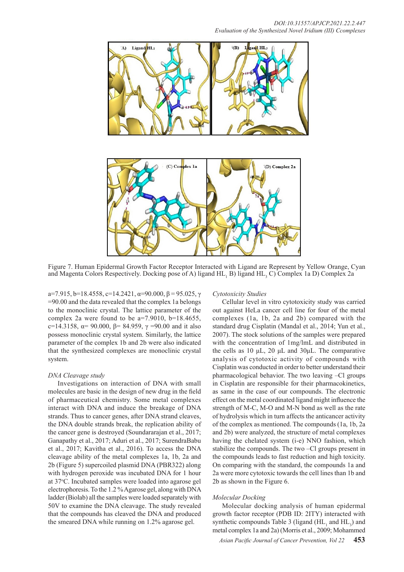

Figure 7. Human Epidermal Growth Factor Receptor Interacted with Ligand are Represent by Yellow Orange, Cyan and Magenta Colors Respectively. Docking pose of A) ligand  $HL$ <sub>1</sub> B) ligand  $HL$ <sub>3</sub> C) Complex 1a D) Complex 2a

a=7.915, b=18.4558, c=14.2421,  $\alpha$ =90.000,  $\beta$  = 95.025,  $\gamma$ =90.00 and the data revealed that the complex 1a belongs to the monoclinic crystal. The lattice parameter of the complex 2a were found to be  $a=7.9010$ ,  $b=18.4655$ , c=14.3158,  $\alpha$ = 90.000,  $\beta$ = 84.959, γ = 90.00 and it also possess monoclinic crystal system. Similarly, the lattice parameter of the complex 1b and 2b were also indicated that the synthesized complexes are monoclinic crystal system.

# *DNA Cleavage study*

Investigations on interaction of DNA with small molecules are basic in the design of new drug in the field of pharmaceutical chemistry. Some metal complexes interact with DNA and induce the breakage of DNA strands. Thus to cancer genes, after DNA strand cleaves, the DNA double strands break, the replication ability of the cancer gene is destroyed (Soundararajan et al., 2017; Ganapathy et al., 2017; Aduri et al., 2017; SurendraBabu et al., 2017; Kavitha et al., 2016). To access the DNA cleavage ability of the metal complexes 1a, 1b, 2a and 2b (Figure 5) supercoiled plasmid DNA (PBR322) along with hydrogen peroxide was incubated DNA for 1 hour at 37°C. Incubated samples were loaded into agarose gel electrophoresis. To the 1.2 % Agarose gel, along with DNA ladder (Biolab) all the samples were loaded separately with 50V to examine the DNA cleavage. The study revealed that the compounds has cleaved the DNA and produced the smeared DNA while running on 1.2% agarose gel.

## *Cytotoxicity Studies*

Cellular level in vitro cytotoxicity study was carried out against HeLa cancer cell line for four of the metal complexes (1a, 1b, 2a and 2b) compared with the standard drug Cisplatin (Mandal et al., 2014; Yun et al., 2007). The stock solutions of the samples were prepared with the concentration of 1mg/lmL and distributed in the cells as 10 μL, 20 μL and 30μL. The comparative analysis of cytotoxic activity of compounds with Cisplatin was conducted in order to better understand their pharmacological behavior. The two leaving –Cl groups in Cisplatin are responsible for their pharmacokinetics, as same in the case of our compounds. The electronic effect on the metal coordinated ligand might influence the strength of M-C, M-O and M-N bond as well as the rate of hydrolysis which in turn affects the anticancer activity of the complex as mentioned. The compounds (1a, 1b, 2a and 2b) were analyzed, the structure of metal complexes having the chelated system (i-e) NNO fashion, which stabilize the compounds. The two –Cl groups present in the compounds leads to fast reduction and high toxicity. On comparing with the standard, the compounds 1a and 2a were more cytotoxic towards the cell lines than 1b and 2b as shown in the Figure 6.

#### *Molecular Docking*

Molecular docking analysis of human epidermal growth factor receptor (PDB ID: 2ITY) interacted with synthetic compounds Table 3 (ligand  $(HL_1$  and  $HL_3$ ) and metal complex 1a and 2a) (Morris et al., 2009; Mohammed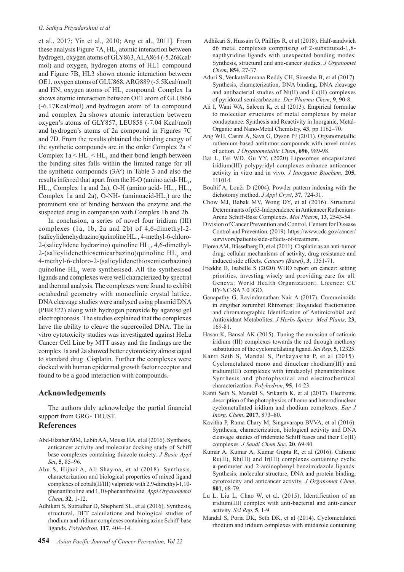et al., 2017; Yin et al., 2010; Ang et al., 2011]. From these analysis Figure 7A,  $HL_1$  atomic interaction between hydrogen, oxygen atoms of GLY863, ALA864 (-5.26Kcal/ mol) and oxygen, hydrogen atoms of HL1 compound and Figure 7B, HL3 shown atomic interaction between OE1, oxygen atoms of GLU868, ARG889 (-5.5Kcal/mol) and HN, oxygen atoms of  $HL$ <sub>3</sub> compound. Complex 1a shows atomic interaction between OE1 atom of GLU866 (-6.17Kcal/mol) and hydrogen atom of 1a compound and complex 2a shows atomic interaction between oxygen's atoms of GLY857, LEU858 (-7.04 Kcal/mol) and hydrogen's atoms of 2a compound in Figures 7C and 7D. From the results obtained the binding energy of the synthetic compounds are in the order Complex 2a < Complex  $1a < HL$ <sub>3</sub>  $< HL$ <sub>1</sub> and their bond length between the binding sites falls within the limited range for all the synthetic compounds  $(3A<sup>o</sup>)$  in Table 3 and also the results inferred that apart from the H-O (amino acid- $HL_1$ ,  $HL_3$ , Complex 1a and 2a), O-H (amino acid-  $HL_1$ ,  $HL_3$ , Complex 1a and 2a), O-NH- (aminoacid- $HL_3$ ) are the prominent site of binding between the enzyme and the suspected drug in comparison with Complex 1b and 2b.

In conclusion, a series of novel four iridium (III) complexes (1a, 1b, 2a and 2b) of 4,6-dimethyl-2-  $(salicylidenehydrazino)$ quinoline HL<sub>1</sub>, 4-methyl-6-chloro-2-(salicylidene hydrazino) quinoline  $HL_2$ , 4,6-dimethyl-2-(salicylidenethiosemicarbazino)quinoline  $HL$ <sub>3</sub> and 4-methyl-6-chloro-2-(salicylidenethiosemicarbazino) quinoline  $HL_4$  were synthesised. All the synthesised ligands and complexes were well characterized by spectral and thermal analysis. The complexes were found to exhibit octahedral geometry with monoclinic crystal lattice. DNA cleavage studies were analysed using plasmid DNA (PBR322) along with hydrogen peroxide by agarose gel electrophoresis. The studies explained that the complexes have the ability to cleave the supercoiled DNA. The in vitro cytotoxicity studies was investigated against HeLa Cancer Cell Line by MTT assay and the findings are the complex 1a and 2a showed better cytotoxicity almost equal to standard drug Cisplatin. Further the complexes were docked with human epidermal growth factor receptor and found to be a good interaction with compounds.

## **Acknowledgements**

The authors duly acknowledge the partial financial support from GRG- TRUST.

#### **References**

- Abd-Elzaher MM, Labib AA, Mousa HA, et al (2016). Synthesis, anticancer activity and molecular docking study of Schiff base complexes containing thiazole moiety. *J Basic Appl Sci*, **5**, 85–96.
- Abu S, Hijazi A, Ali Shayma, et al (2018). Synthesis, characterization and biological properties of mixed ligand complexes of cobalt(II/III) valproate with 2,9-dimethyl-1,10 phenanthroline and 1,10-phenanthroline. *Appl Organometal Chem*, **32**, 1-12.
- Adhikari S, Sutradhar D, Shepherd SL, et al (2016). Synthesis, structural, DFT calculations and biological studies of rhodium and iridium complexes containing azine Schiff-base ligands. *Polyhedron*, **117**, 404–14.
- Adhikari S, Hussain O, Phillips R, et al (2018). Half-sandwich d6 metal complexes comprising of 2-substituted-1,8 napthyridine ligands with unexpected bonding modes: Synthesis, structural and anti-cancer studies. *J Organomet Chem*, **854**, 27-37.
- Aduri S, VenkataRamana Reddy CH, Sireesha B, et al (2017). Synthesis, characterization, DNA binding, DNA cleavage and antibacterial studies of Ni(II) and Cu(II) complexes of pyridoxal semicarbazone. *Der Pharma Chem*, **9**, 90-8.
- Ali I, Wani WA, Saleem K, et al (2013). Empirical formulae to molecular structures of metal complexes by molar conductance. Synthesis and Reactivity in Inorganic, Metal-Organic and Nano-Metal Chemistry, **43**, pp 1162–70.
- Ang WH, Casini A, Sava G, Dyson PJ (2011). Organometallic ruthenium-based antitumor compounds with novel modes of action. *J Organometallic Chem*, **696**, 989-98.
- Bai L, Fei WD, Gu YY, (2020) Liposomes encapsulated iridium(III) polypyridyl complexes enhance anticancer activity in vitro and in vivo. *J Inorganic Biochem*, **205**, 111014.
- Boultif A, Louër D (2004). Powder pattern indexing with the dichotomy method. *J Appl Cryst*, **37**, 724-31.
- Chow MJ, Babak MV, Wong DY, et al (2016). Structural Determinants of p53-Independence in Anticancer Ruthenium-Arene Schiff-Base Complexes. *Mol Pharm*, **13**, 2543-54.
- Division of Cancer Prevention and Control, Centers for Disease Control and Prevention. (2019). https://www.cdc.gov/cancer/ survivors/patients/side-effects-of-treatment.
- Florea AM, Büsselberg D, et al (2011). Cisplatin as an anti-tumor drug: cellular mechanisms of activity, drug resistance and induced side effects. *Cancers (Basel)*, **3**, 1351-71.
- Freddie B, Isabelle S (2020) WHO report on cancer: setting priorities, investing wisely and providing care for all. Geneva: World Health Organization;. Licence: CC BY-NC-SA 3.0 IGO.
- Ganapathy G, Ravindranathan Nair A (2017). Curcuminoids in zingiber zerumbet Rhizomes: Bioguided fractionation and chromatographic Identification of Antimicrobial and Antioxidant Metabolites. *J Herbs Spices Med Plants*, **23**, 169-81.
- Hasan K, Bansal AK (2015). Tuning the emission of cationic iridium (III) complexes towards the red through methoxy substitution of the cyclometalating ligand. *Sci Rep*, **5**, 12325.
- Kanti Seth S, Mandal S, Purkayastha P, et al (2015). Cyclometalated mono and dinuclear rhodium(III) and iridium(III) complexes with imidazolyl phenanthrolines: Synthesis and photophysical and electrochemical characterization. *Polyhedron*, **95**, 14-23.
- Kanti Seth S, Mandal S, Srikanth K, et al (2017). Electronic description of the photophysics of homo and heterodinuclear cyclometallated iridium and rhodium complexes. *Eur J Inorg. Chem*, **2017**, 873–80.
- Kavitha P, Rama Chary M, Singavarapu BVVA, et al (2016). Synthesis, characterization, biological activity and DNA cleavage studies of tridentate Schiff bases and their Co(II) complexes*. J Saudi Chem Soc*, **20**, 69-80.
- Kumar A, Kumar A, Kumar Gupta R, et al (2016). Cationic Ru(II), Rh(III) and Ir(III) complexes containing cyclic π-perimeter and 2-aminophenyl benzimidazole ligands: Synthesis, molecular structure, DNA and protein binding, cytotoxicity and anticancer activity. *J Organomet Chem*, **801**, 68-79.
- Lu L, Liu L, Chao W, et al. (2015). Identification of an iridium(III) complex with anti-bacterial and anti-cancer activity. *Sci Rep*, **5**, 1-9.
- Mandal S, Poria DK, Seth DK, et al (2014). Cyclometalated rhodium and iridium complexes with imidazole containing